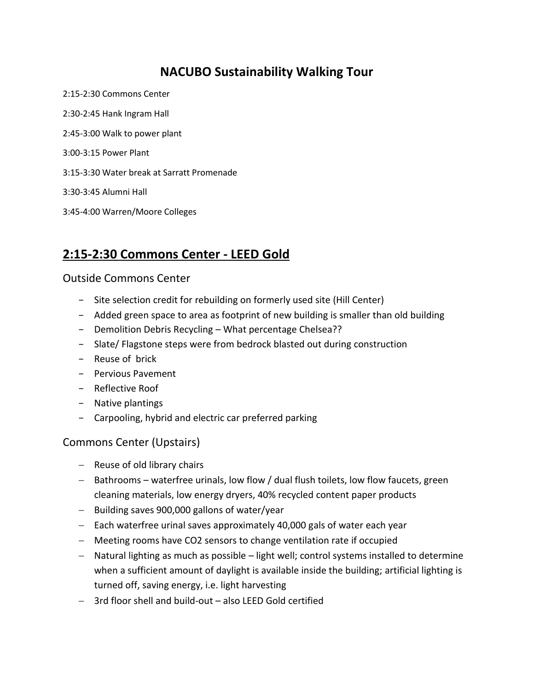## **NACUBO Sustainability Walking Tour**

2:15-2:30 Commons Center 2:30-2:45 Hank Ingram Hall 2:45-3:00 Walk to power plant 3:00-3:15 Power Plant 3:15-3:30 Water break at Sarratt Promenade 3:30-3:45 Alumni Hall 3:45-4:00 Warren/Moore Colleges

# **2:15-2:30 Commons Center - LEED Gold**

#### Outside Commons Center

- − Site selection credit for rebuilding on formerly used site (Hill Center)
- − Added green space to area as footprint of new building is smaller than old building
- − Demolition Debris Recycling What percentage Chelsea??
- − Slate/ Flagstone steps were from bedrock blasted out during construction
- − Reuse of brick
- − Pervious Pavement
- − Reflective Roof
- − Native plantings
- − Carpooling, hybrid and electric car preferred parking

### Commons Center (Upstairs)

- Reuse of old library chairs
- Bathrooms waterfree urinals, low flow / dual flush toilets, low flow faucets, green cleaning materials, low energy dryers, 40% recycled content paper products
- $-$  Building saves 900,000 gallons of water/year
- Each waterfree urinal saves approximately 40,000 gals of water each year
- Meeting rooms have CO2 sensors to change ventilation rate if occupied
- Natural lighting as much as possible light well; control systems installed to determine when a sufficient amount of daylight is available inside the building; artificial lighting is turned off, saving energy, i.e. light harvesting
- 3rd floor shell and build-out also LEED Gold certified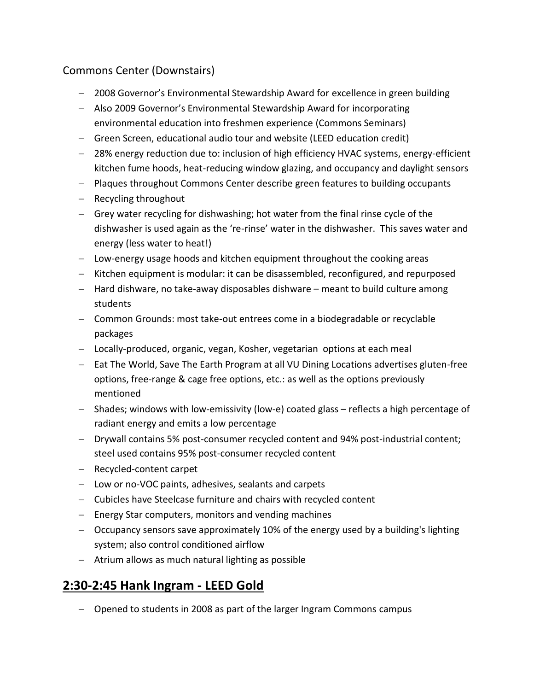### Commons Center (Downstairs)

- 2008 Governor's Environmental Stewardship Award for excellence in green building
- Also 2009 Governor's Environmental Stewardship Award for incorporating environmental education into freshmen experience (Commons Seminars)
- Green Screen, educational audio tour and website (LEED education credit)
- 28% energy reduction due to: inclusion of high efficiency HVAC systems, energy-efficient kitchen fume hoods, heat-reducing window glazing, and occupancy and daylight sensors
- Plaques throughout Commons Center describe green features to building occupants
- $-$  Recycling throughout
- Grey water recycling for dishwashing; hot water from the final rinse cycle of the dishwasher is used again as the 're-rinse' water in the dishwasher. This saves water and energy (less water to heat!)
- Low-energy usage hoods and kitchen equipment throughout the cooking areas
- Kitchen equipment is modular: it can be disassembled, reconfigured, and repurposed
- $-$  Hard dishware, no take-away disposables dishware  $-$  meant to build culture among students
- Common Grounds: most take-out entrees come in a biodegradable or recyclable packages
- Locally-produced, organic, vegan, Kosher, vegetarian options at each meal
- Eat The World, Save The Earth Program at all VU Dining Locations advertises gluten-free options, free-range & cage free options, etc.: as well as the options previously mentioned
- Shades; windows with low-emissivity (low-e) coated glass reflects a high percentage of radiant energy and emits a low percentage
- Drywall contains 5% post-consumer recycled content and 94% post-industrial content; steel used contains 95% post-consumer recycled content
- Recycled-content carpet
- Low or no-VOC paints, adhesives, sealants and carpets
- Cubicles have Steelcase furniture and chairs with recycled content
- Energy Star computers, monitors and vending machines
- Occupancy sensors save approximately 10% of the energy used by a building's lighting system; also control conditioned airflow
- Atrium allows as much natural lighting as possible

# **2:30-2:45 Hank Ingram - LEED Gold**

- Opened to students in 2008 as part of the larger Ingram Commons campus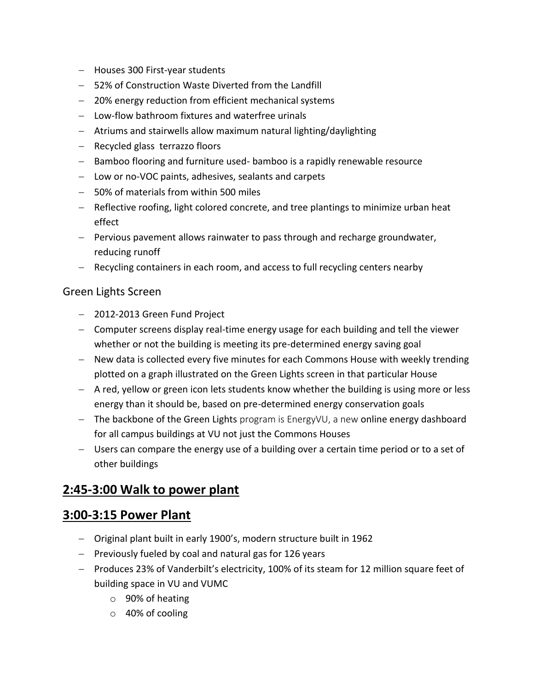- Houses 300 First-year students
- 52% of Construction Waste Diverted from the Landfill
- 20% energy reduction from efficient mechanical systems
- Low-flow bathroom fixtures and waterfree urinals
- Atriums and stairwells allow maximum natural lighting/daylighting
- Recycled glass terrazzo floors
- Bamboo flooring and furniture used- bamboo is a rapidly renewable resource
- Low or no-VOC paints, adhesives, sealants and carpets
- 50% of materials from within 500 miles
- Reflective roofing, light colored concrete, and tree plantings to minimize urban heat effect
- Pervious pavement allows rainwater to pass through and recharge groundwater, reducing runoff
- Recycling containers in each room, and access to full recycling centers nearby

#### Green Lights Screen

- 2012-2013 Green Fund Project
- Computer screens display real-time energy usage for each building and tell the viewer whether or not the building is meeting its pre-determined energy saving goal
- New data is collected every five minutes for each Commons House with weekly trending plotted on a graph illustrated on the Green Lights screen in that particular House
- A red, yellow or green icon lets students know whether the building is using more or less energy than it should be, based on pre-determined energy conservation goals
- $-$  The backbone of the Green Lights program is [EnergyVU,](http://energyvu.vanderbilt.edu/) a new online energy dashboard for all campus buildings at VU not just the Commons Houses
- Users can compare the energy use of a building over a certain time period or to a set of other buildings

## **2:45-3:00 Walk to power plant**

### **3:00-3:15 Power Plant**

- Original plant built in early 1900's, modern structure built in 1962
- Previously fueled by coal and natural gas for 126 years
- Produces 23% of Vanderbilt's electricity, 100% of its steam for 12 million square feet of building space in VU and VUMC
	- o 90% of heating
	- o 40% of cooling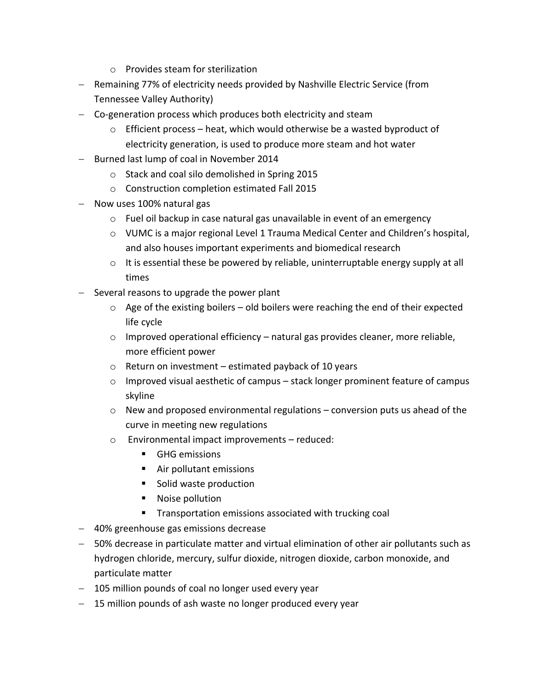- o Provides steam for sterilization
- Remaining 77% of electricity needs provided by Nashville Electric Service (from Tennessee Valley Authority)
- Co-generation process which produces both electricity and steam
	- $\circ$  Efficient process heat, which would otherwise be a wasted byproduct of electricity generation, is used to produce more steam and hot water
- Burned last lump of coal in November 2014
	- o Stack and coal silo demolished in Spring 2015
	- o Construction completion estimated Fall 2015
- Now uses 100% natural gas
	- o Fuel oil backup in case natural gas unavailable in event of an emergency
	- o VUMC is a major regional Level 1 Trauma Medical Center and Children's hospital, and also houses important experiments and biomedical research
	- $\circ$  It is essential these be powered by reliable, uninterruptable energy supply at all times
- Several reasons to upgrade the power plant
	- $\circ$  Age of the existing boilers old boilers were reaching the end of their expected life cycle
	- $\circ$  Improved operational efficiency natural gas provides cleaner, more reliable, more efficient power
	- $\circ$  Return on investment estimated payback of 10 years
	- o Improved visual aesthetic of campus stack longer prominent feature of campus skyline
	- $\circ$  New and proposed environmental regulations conversion puts us ahead of the curve in meeting new regulations
	- o Environmental impact improvements reduced:
		- **GHG emissions**
		- Air pollutant emissions
		- Solid waste production
		- Noise pollution
		- **Transportation emissions associated with trucking coal**
- 40% greenhouse gas emissions decrease
- 50% decrease in particulate matter and virtual elimination of other air pollutants such as hydrogen chloride, mercury, sulfur dioxide, nitrogen dioxide, carbon monoxide, and particulate matter
- 105 million pounds of coal no longer used every year
- 15 million pounds of ash waste no longer produced every year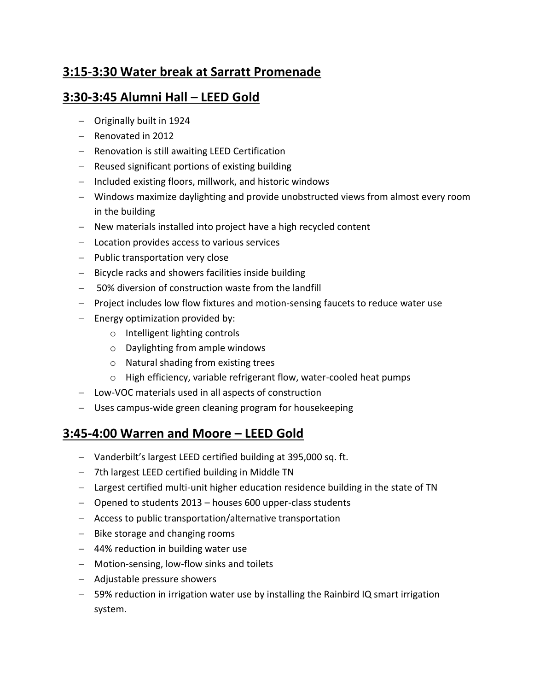# **3:15-3:30 Water break at Sarratt Promenade**

## **3:30-3:45 Alumni Hall – LEED Gold**

- Originally built in 1924
- Renovated in 2012
- Renovation is still awaiting LEED Certification
- Reused significant portions of existing building
- Included existing floors, millwork, and historic windows
- Windows maximize daylighting and provide unobstructed views from almost every room in the building
- New materials installed into project have a high recycled content
- Location provides access to various services
- Public transportation very close
- Bicycle racks and showers facilities inside building
- 50% diversion of construction waste from the landfill
- Project includes low flow fixtures and motion-sensing faucets to reduce water use
- $-$  Energy optimization provided by:
	- o Intelligent lighting controls
	- o Daylighting from ample windows
	- o Natural shading from existing trees
	- o High efficiency, variable refrigerant flow, water-cooled heat pumps
- Low-VOC materials used in all aspects of construction
- Uses campus-wide green cleaning program for housekeeping

## **3:45-4:00 Warren and Moore – LEED Gold**

- Vanderbilt's largest LEED certified building at 395,000 sq. ft.
- 7th largest LEED certified building in Middle TN
- Largest certified multi-unit higher education residence building in the state of TN
- Opened to students 2013 houses 600 upper-class students
- Access to public transportation/alternative transportation
- $-$  Bike storage and changing rooms
- 44% reduction in building water use
- Motion-sensing, low-flow sinks and toilets
- Adjustable pressure showers
- 59% reduction in irrigation water use by installing the Rainbird IQ smart irrigation system.